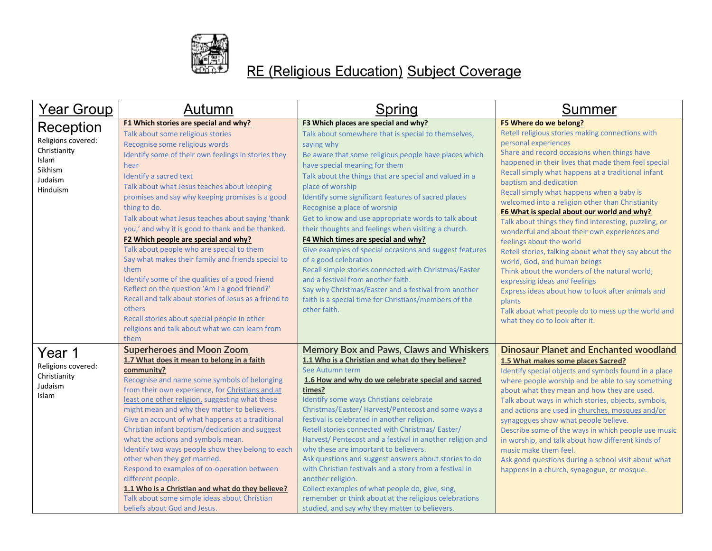

## RE (Religious Education) Subject Coverage

| <u> Year Group</u>                                                                         | Autumn                                                                                                                                                                                                                                                                                                                                                                                                                                                                                                                                                                                                                                                                                                                                                                                                                                                         | Spring                                                                                                                                                                                                                                                                                                                                                                                                                                                                                                                                                                                                                                                                                                                                                                                                                                            | Summer                                                                                                                                                                                                                                                                                                                                                                                                                                                                                                                                                                                                                                                                                                                                                                                                                                                                                                           |
|--------------------------------------------------------------------------------------------|----------------------------------------------------------------------------------------------------------------------------------------------------------------------------------------------------------------------------------------------------------------------------------------------------------------------------------------------------------------------------------------------------------------------------------------------------------------------------------------------------------------------------------------------------------------------------------------------------------------------------------------------------------------------------------------------------------------------------------------------------------------------------------------------------------------------------------------------------------------|---------------------------------------------------------------------------------------------------------------------------------------------------------------------------------------------------------------------------------------------------------------------------------------------------------------------------------------------------------------------------------------------------------------------------------------------------------------------------------------------------------------------------------------------------------------------------------------------------------------------------------------------------------------------------------------------------------------------------------------------------------------------------------------------------------------------------------------------------|------------------------------------------------------------------------------------------------------------------------------------------------------------------------------------------------------------------------------------------------------------------------------------------------------------------------------------------------------------------------------------------------------------------------------------------------------------------------------------------------------------------------------------------------------------------------------------------------------------------------------------------------------------------------------------------------------------------------------------------------------------------------------------------------------------------------------------------------------------------------------------------------------------------|
| Reception<br>Religions covered:<br>Christianity<br>Islam<br>Sikhism<br>Judaism<br>Hinduism | F1 Which stories are special and why?<br>Talk about some religious stories<br>Recognise some religious words<br>Identify some of their own feelings in stories they<br>hear<br>Identify a sacred text<br>Talk about what Jesus teaches about keeping<br>promises and say why keeping promises is a good<br>thing to do.<br>Talk about what Jesus teaches about saying 'thank<br>you,' and why it is good to thank and be thanked.<br>F2 Which people are special and why?<br>Talk about people who are special to them<br>Say what makes their family and friends special to<br>them<br>Identify some of the qualities of a good friend<br>Reflect on the question 'Am I a good friend?'<br>Recall and talk about stories of Jesus as a friend to<br>others<br>Recall stories about special people in other<br>religions and talk about what we can learn from | F3 Which places are special and why?<br>Talk about somewhere that is special to themselves,<br>saying why<br>Be aware that some religious people have places which<br>have special meaning for them<br>Talk about the things that are special and valued in a<br>place of worship<br>Identify some significant features of sacred places<br>Recognise a place of worship<br>Get to know and use appropriate words to talk about<br>their thoughts and feelings when visiting a church.<br>F4 Which times are special and why?<br>Give examples of special occasions and suggest features<br>of a good celebration<br>Recall simple stories connected with Christmas/Easter<br>and a festival from another faith.<br>Say why Christmas/Easter and a festival from another<br>faith is a special time for Christians/members of the<br>other faith. | F5 Where do we belong?<br>Retell religious stories making connections with<br>personal experiences<br>Share and record occasions when things have<br>happened in their lives that made them feel special<br>Recall simply what happens at a traditional infant<br>baptism and dedication<br>Recall simply what happens when a baby is<br>welcomed into a religion other than Christianity<br>F6 What is special about our world and why?<br>Talk about things they find interesting, puzzling, or<br>wonderful and about their own experiences and<br>feelings about the world<br>Retell stories, talking about what they say about the<br>world, God, and human beings<br>Think about the wonders of the natural world,<br>expressing ideas and feelings<br>Express ideas about how to look after animals and<br>plants<br>Talk about what people do to mess up the world and<br>what they do to look after it. |
| Year 1<br>Religions covered:<br>Christianity<br>Judaism<br>Islam                           | them<br><b>Superheroes and Moon Zoom</b><br>1.7 What does it mean to belong in a faith<br>community?<br>Recognise and name some symbols of belonging<br>from their own experience, for Christians and at<br>least one other religion, suggesting what these<br>might mean and why they matter to believers.<br>Give an account of what happens at a traditional<br>Christian infant baptism/dedication and suggest<br>what the actions and symbols mean.<br>Identify two ways people show they belong to each<br>other when they get married.<br>Respond to examples of co-operation between<br>different people.<br>1.1 Who is a Christian and what do they believe?<br>Talk about some simple ideas about Christian<br>beliefs about God and Jesus.                                                                                                          | <b>Memory Box and Paws, Claws and Whiskers</b><br>1.1 Who is a Christian and what do they believe?<br>See Autumn term<br>1.6 How and why do we celebrate special and sacred<br>times?<br>Identify some ways Christians celebrate<br>Christmas/Easter/ Harvest/Pentecost and some ways a<br>festival is celebrated in another religion.<br>Retell stories connected with Christmas/Easter/<br>Harvest/ Pentecost and a festival in another religion and<br>why these are important to believers.<br>Ask questions and suggest answers about stories to do<br>with Christian festivals and a story from a festival in<br>another religion.<br>Collect examples of what people do, give, sing,<br>remember or think about at the religious celebrations<br>studied, and say why they matter to believers.                                            | <b>Dinosaur Planet and Enchanted woodland</b><br>1.5 What makes some places Sacred?<br>Identify special objects and symbols found in a place<br>where people worship and be able to say something<br>about what they mean and how they are used.<br>Talk about ways in which stories, objects, symbols,<br>and actions are used in churches, mosques and/or<br>synagogues show what people believe.<br>Describe some of the ways in which people use music<br>in worship, and talk about how different kinds of<br>music make them feel.<br>Ask good questions during a school visit about what<br>happens in a church, synagogue, or mosque.                                                                                                                                                                                                                                                                    |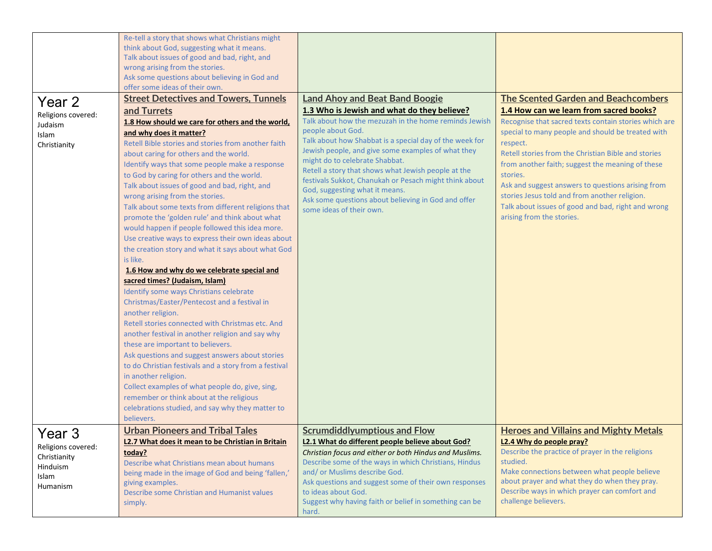|                                                                                          | Re-tell a story that shows what Christians might<br>think about God, suggesting what it means.<br>Talk about issues of good and bad, right, and<br>wrong arising from the stories.<br>Ask some questions about believing in God and                                                                                                                                                                                                                                                                                                                                                                                                                                                                                                                                                                                                                                                                                                                                                                                                                                                                                                                                                                                                                                                                  |                                                                                                                                                                                                                                                                                                                                                                                                                                                                                                                                                             |                                                                                                                                                                                                                                                                                                                                                                                                                                                                                                                                 |
|------------------------------------------------------------------------------------------|------------------------------------------------------------------------------------------------------------------------------------------------------------------------------------------------------------------------------------------------------------------------------------------------------------------------------------------------------------------------------------------------------------------------------------------------------------------------------------------------------------------------------------------------------------------------------------------------------------------------------------------------------------------------------------------------------------------------------------------------------------------------------------------------------------------------------------------------------------------------------------------------------------------------------------------------------------------------------------------------------------------------------------------------------------------------------------------------------------------------------------------------------------------------------------------------------------------------------------------------------------------------------------------------------|-------------------------------------------------------------------------------------------------------------------------------------------------------------------------------------------------------------------------------------------------------------------------------------------------------------------------------------------------------------------------------------------------------------------------------------------------------------------------------------------------------------------------------------------------------------|---------------------------------------------------------------------------------------------------------------------------------------------------------------------------------------------------------------------------------------------------------------------------------------------------------------------------------------------------------------------------------------------------------------------------------------------------------------------------------------------------------------------------------|
|                                                                                          | offer some ideas of their own.                                                                                                                                                                                                                                                                                                                                                                                                                                                                                                                                                                                                                                                                                                                                                                                                                                                                                                                                                                                                                                                                                                                                                                                                                                                                       |                                                                                                                                                                                                                                                                                                                                                                                                                                                                                                                                                             |                                                                                                                                                                                                                                                                                                                                                                                                                                                                                                                                 |
| Year 2<br>Religions covered:<br>Judaism<br>Islam<br>Christianity                         | <b>Street Detectives and Towers, Tunnels</b><br>and Turrets<br>1.8 How should we care for others and the world,<br>and why does it matter?<br>Retell Bible stories and stories from another faith<br>about caring for others and the world.<br>Identify ways that some people make a response<br>to God by caring for others and the world.<br>Talk about issues of good and bad, right, and<br>wrong arising from the stories.<br>Talk about some texts from different religions that<br>promote the 'golden rule' and think about what<br>would happen if people followed this idea more.<br>Use creative ways to express their own ideas about<br>the creation story and what it says about what God<br>is like.<br>1.6 How and why do we celebrate special and<br>sacred times? (Judaism, Islam)<br>Identify some ways Christians celebrate<br>Christmas/Easter/Pentecost and a festival in<br>another religion.<br>Retell stories connected with Christmas etc. And<br>another festival in another religion and say why<br>these are important to believers.<br>Ask questions and suggest answers about stories<br>to do Christian festivals and a story from a festival<br>in another religion.<br>Collect examples of what people do, give, sing,<br>remember or think about at the religious | <b>Land Ahoy and Beat Band Boogie</b><br>1.3 Who is Jewish and what do they believe?<br>Talk about how the mezuzah in the home reminds Jewish<br>people about God.<br>Talk about how Shabbat is a special day of the week for<br>Jewish people, and give some examples of what they<br>might do to celebrate Shabbat.<br>Retell a story that shows what Jewish people at the<br>festivals Sukkot, Chanukah or Pesach might think about<br>God, suggesting what it means.<br>Ask some questions about believing in God and offer<br>some ideas of their own. | <b>The Scented Garden and Beachcombers</b><br>1.4 How can we learn from sacred books?<br>Recognise that sacred texts contain stories which are<br>special to many people and should be treated with<br>respect.<br>Retell stories from the Christian Bible and stories<br>from another faith; suggest the meaning of these<br>stories.<br>Ask and suggest answers to questions arising from<br>stories Jesus told and from another religion.<br>Talk about issues of good and bad, right and wrong<br>arising from the stories. |
|                                                                                          | celebrations studied, and say why they matter to<br>believers.                                                                                                                                                                                                                                                                                                                                                                                                                                                                                                                                                                                                                                                                                                                                                                                                                                                                                                                                                                                                                                                                                                                                                                                                                                       |                                                                                                                                                                                                                                                                                                                                                                                                                                                                                                                                                             |                                                                                                                                                                                                                                                                                                                                                                                                                                                                                                                                 |
| Year <sub>3</sub><br>Religions covered:<br>Christianity<br>Hinduism<br>Islam<br>Humanism | <b>Urban Pioneers and Tribal Tales</b><br>L2.7 What does it mean to be Christian in Britain<br>today?<br>Describe what Christians mean about humans<br>being made in the image of God and being 'fallen,'<br>giving examples.<br>Describe some Christian and Humanist values<br>simply.                                                                                                                                                                                                                                                                                                                                                                                                                                                                                                                                                                                                                                                                                                                                                                                                                                                                                                                                                                                                              | <b>Scrumdiddlyumptious and Flow</b><br>L2.1 What do different people believe about God?<br>Christian focus and either or both Hindus and Muslims.<br>Describe some of the ways in which Christians, Hindus<br>and/ or Muslims describe God.<br>Ask questions and suggest some of their own responses<br>to ideas about God.<br>Suggest why having faith or belief in something can be<br>hard.                                                                                                                                                              | <b>Heroes and Villains and Mighty Metals</b><br>L2.4 Why do people pray?<br>Describe the practice of prayer in the religions<br>studied.<br>Make connections between what people believe<br>about prayer and what they do when they pray.<br>Describe ways in which prayer can comfort and<br>challenge believers.                                                                                                                                                                                                              |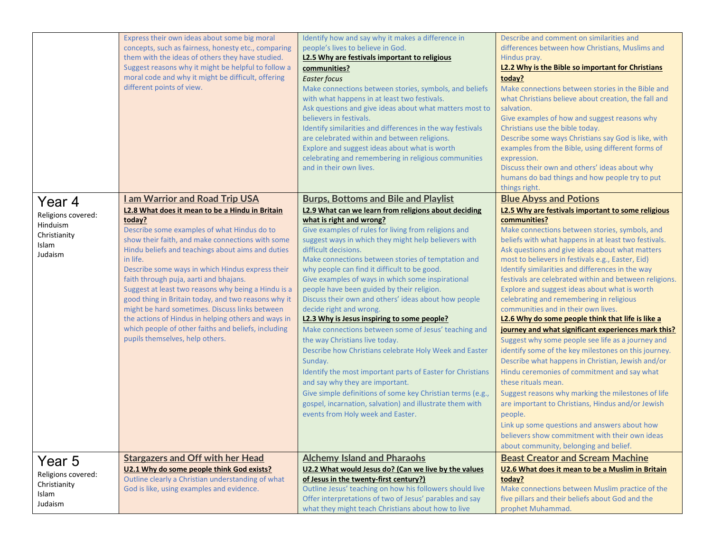|                                                                              | Express their own ideas about some big moral<br>concepts, such as fairness, honesty etc., comparing<br>them with the ideas of others they have studied.<br>Suggest reasons why it might be helpful to follow a<br>moral code and why it might be difficult, offering<br>different points of view.                                                                                                                                                                                                                                                                                                                                                                                     | Identify how and say why it makes a difference in<br>people's lives to believe in God.<br>L2.5 Why are festivals important to religious<br>communities?<br><b>Easter focus</b><br>Make connections between stories, symbols, and beliefs<br>with what happens in at least two festivals.<br>Ask questions and give ideas about what matters most to<br>believers in festivals.<br>Identify similarities and differences in the way festivals<br>are celebrated within and between religions.<br>Explore and suggest ideas about what is worth<br>celebrating and remembering in religious communities<br>and in their own lives.                                                                                                                                                                                                                                                                                                                                                                                                                  | Describe and comment on similarities and<br>differences between how Christians, Muslims and<br>Hindus pray.<br>L2.2 Why is the Bible so important for Christians<br>today?<br>Make connections between stories in the Bible and<br>what Christians believe about creation, the fall and<br>salvation.<br>Give examples of how and suggest reasons why<br>Christians use the bible today.<br>Describe some ways Christians say God is like, with<br>examples from the Bible, using different forms of<br>expression.<br>Discuss their own and others' ideas about why<br>humans do bad things and how people try to put                                                                                                                                                                                                                                                                                                                                                                                                                                                                                             |
|------------------------------------------------------------------------------|---------------------------------------------------------------------------------------------------------------------------------------------------------------------------------------------------------------------------------------------------------------------------------------------------------------------------------------------------------------------------------------------------------------------------------------------------------------------------------------------------------------------------------------------------------------------------------------------------------------------------------------------------------------------------------------|---------------------------------------------------------------------------------------------------------------------------------------------------------------------------------------------------------------------------------------------------------------------------------------------------------------------------------------------------------------------------------------------------------------------------------------------------------------------------------------------------------------------------------------------------------------------------------------------------------------------------------------------------------------------------------------------------------------------------------------------------------------------------------------------------------------------------------------------------------------------------------------------------------------------------------------------------------------------------------------------------------------------------------------------------|--------------------------------------------------------------------------------------------------------------------------------------------------------------------------------------------------------------------------------------------------------------------------------------------------------------------------------------------------------------------------------------------------------------------------------------------------------------------------------------------------------------------------------------------------------------------------------------------------------------------------------------------------------------------------------------------------------------------------------------------------------------------------------------------------------------------------------------------------------------------------------------------------------------------------------------------------------------------------------------------------------------------------------------------------------------------------------------------------------------------|
| Year 4<br>Religions covered:<br>Hinduism<br>Christianity<br>Islam<br>Judaism | <b>I am Warrior and Road Trip USA</b><br>L2.8 What does it mean to be a Hindu in Britain<br>today?<br>Describe some examples of what Hindus do to<br>show their faith, and make connections with some<br>Hindu beliefs and teachings about aims and duties<br>in life.<br>Describe some ways in which Hindus express their<br>faith through puja, aarti and bhajans.<br>Suggest at least two reasons why being a Hindu is a<br>good thing in Britain today, and two reasons why it<br>might be hard sometimes. Discuss links between<br>the actions of Hindus in helping others and ways in<br>which people of other faiths and beliefs, including<br>pupils themselves, help others. | <b>Burps, Bottoms and Bile and Playlist</b><br>L2.9 What can we learn from religions about deciding<br>what is right and wrong?<br>Give examples of rules for living from religions and<br>suggest ways in which they might help believers with<br>difficult decisions.<br>Make connections between stories of temptation and<br>why people can find it difficult to be good.<br>Give examples of ways in which some inspirational<br>people have been guided by their religion.<br>Discuss their own and others' ideas about how people<br>decide right and wrong.<br>L2.3 Why is Jesus inspiring to some people?<br>Make connections between some of Jesus' teaching and<br>the way Christians live today.<br>Describe how Christians celebrate Holy Week and Easter<br>Sunday.<br>Identify the most important parts of Easter for Christians<br>and say why they are important.<br>Give simple definitions of some key Christian terms (e.g.,<br>gospel, incarnation, salvation) and illustrate them with<br>events from Holy week and Easter. | things right.<br><b>Blue Abyss and Potions</b><br>L2.5 Why are festivals important to some religious<br>communities?<br>Make connections between stories, symbols, and<br>beliefs with what happens in at least two festivals.<br>Ask questions and give ideas about what matters<br>most to believers in festivals e.g., Easter, Eid)<br>Identify similarities and differences in the way<br>festivals are celebrated within and between religions.<br>Explore and suggest ideas about what is worth<br>celebrating and remembering in religious<br>communities and in their own lives.<br>L2.6 Why do some people think that life is like a<br>journey and what significant experiences mark this?<br>Suggest why some people see life as a journey and<br>identify some of the key milestones on this journey.<br>Describe what happens in Christian, Jewish and/or<br>Hindu ceremonies of commitment and say what<br>these rituals mean.<br>Suggest reasons why marking the milestones of life<br>are important to Christians, Hindus and/or Jewish<br>people.<br>Link up some questions and answers about how |
| Year 5<br>Religions covered:<br>Christianity<br>Islam<br>Judaism             | <b>Stargazers and Off with her Head</b><br>U2.1 Why do some people think God exists?<br>Outline clearly a Christian understanding of what<br>God is like, using examples and evidence.                                                                                                                                                                                                                                                                                                                                                                                                                                                                                                | <b>Alchemy Island and Pharaohs</b><br>U2.2 What would Jesus do? (Can we live by the values<br>of Jesus in the twenty-first century?)<br>Outline Jesus' teaching on how his followers should live<br>Offer interpretations of two of Jesus' parables and say<br>what they might teach Christians about how to live                                                                                                                                                                                                                                                                                                                                                                                                                                                                                                                                                                                                                                                                                                                                 | believers show commitment with their own ideas<br>about community, belonging and belief.<br><b>Beast Creator and Scream Machine</b><br>U2.6 What does it mean to be a Muslim in Britain<br>today?<br>Make connections between Muslim practice of the<br>five pillars and their beliefs about God and the<br>prophet Muhammad.                                                                                                                                                                                                                                                                                                                                                                                                                                                                                                                                                                                                                                                                                                                                                                                      |